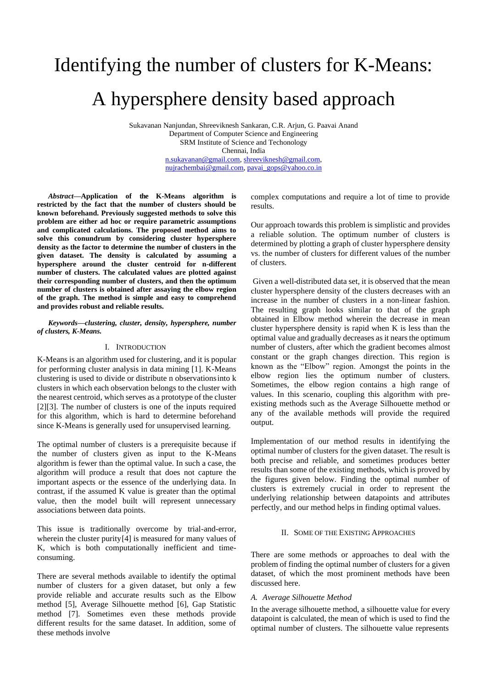# Identifying the number of clusters for K-Means: A hypersphere density based approach

Sukavanan Nanjundan, Shreeviknesh Sankaran, C.R. Arjun, G. Paavai Anand Department of Computer Science and Engineering SRM Institute of Science and Techonology Chennai, India [n.sukavanan@gmail.com,](mailto:n.sukavanan@gmail.com) [shreeviknesh@gmail.com,](mailto:shreeviknesh@gmail.com)  [nujrachembai@gmail.com,](mailto:nujrachembai@gmail.com) [pavai\\_gops@yahoo.co.in](mailto:pavai_gops@yahoo.co.in)

*Abstract***—Application of the K-Means algorithm is restricted by the fact that the number of clusters should be known beforehand. Previously suggested methods to solve this problem are either ad hoc or require parametric assumptions and complicated calculations. The proposed method aims to solve this conundrum by considering cluster hypersphere density as the factor to determine the number of clusters in the given dataset. The density is calculated by assuming a hypersphere around the cluster centroid for n-different number of clusters. The calculated values are plotted against their corresponding number of clusters, and then the optimum number of clusters is obtained after assaying the elbow region of the graph. The method is simple and easy to comprehend and provides robust and reliable results.**

## *Keywords—clustering, cluster, density, hypersphere, number of clusters, K-Means.*

# I. INTRODUCTION

K-Means is an algorithm used for clustering, and it is popular for performing cluster analysis in data mining [1]. K-Means clustering is used to divide or distribute n observationsinto k clusters in which each observation belongs to the cluster with the nearest centroid, which serves as a prototype of the cluster [2][3]. The number of clusters is one of the inputs required for this algorithm, which is hard to determine beforehand since K-Means is generally used for unsupervised learning.

The optimal number of clusters is a prerequisite because if the number of clusters given as input to the K-Means algorithm is fewer than the optimal value. In such a case, the algorithm will produce a result that does not capture the important aspects or the essence of the underlying data. In contrast, if the assumed K value is greater than the optimal value, then the model built will represent unnecessary associations between data points.

This issue is traditionally overcome by trial-and-error, wherein the cluster purity[4] is measured for many values of K, which is both computationally inefficient and timeconsuming.

There are several methods available to identify the optimal number of clusters for a given dataset, but only a few provide reliable and accurate results such as the Elbow method [5], Average Silhouette method [6], Gap Statistic method [7]. Sometimes even these methods provide different results for the same dataset. In addition, some of these methods involve

complex computations and require a lot of time to provide results.

Our approach towards this problem is simplistic and provides a reliable solution. The optimum number of clusters is determined by plotting a graph of cluster hypersphere density vs. the number of clusters for different values of the number of clusters.

Given a well-distributed data set, it is observed that the mean cluster hypersphere density of the clusters decreases with an increase in the number of clusters in a non-linear fashion. The resulting graph looks similar to that of the graph obtained in Elbow method wherein the decrease in mean cluster hypersphere density is rapid when K is less than the optimal value and gradually decreases as it nears the optimum number of clusters, after which the gradient becomes almost constant or the graph changes direction. This region is known as the "Elbow" region. Amongst the points in the elbow region lies the optimum number of clusters. Sometimes, the elbow region contains a high range of values. In this scenario, coupling this algorithm with preexisting methods such as the Average Silhouette method or any of the available methods will provide the required output.

Implementation of our method results in identifying the optimal number of clusters for the given dataset. The result is both precise and reliable, and sometimes produces better results than some of the existing methods, which is proved by the figures given below. Finding the optimal number of clusters is extremely crucial in order to represent the underlying relationship between datapoints and attributes perfectly, and our method helps in finding optimal values.

## II. SOME OF THE EXISTING APPROACHES

There are some methods or approaches to deal with the problem of finding the optimal number of clusters for a given dataset, of which the most prominent methods have been discussed here.

#### *A. Average Silhouette Method*

In the average silhouette method, a silhouette value for every datapoint is calculated, the mean of which is used to find the optimal number of clusters. The silhouette value represents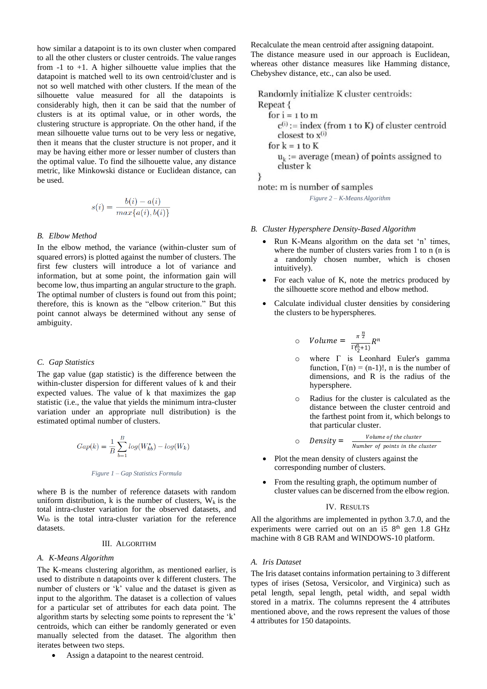how similar a datapoint is to its own cluster when compared to all the other clusters or cluster centroids. The value ranges from  $-1$  to  $+1$ . A higher silhouette value implies that the datapoint is matched well to its own centroid/cluster and is not so well matched with other clusters. If the mean of the silhouette value measured for all the datapoints is considerably high, then it can be said that the number of clusters is at its optimal value, or in other words, the clustering structure is appropriate. On the other hand, if the mean silhouette value turns out to be very less or negative, then it means that the cluster structure is not proper, and it may be having either more or lesser number of clusters than the optimal value. To find the silhouette value, any distance metric, like Minkowski distance or Euclidean distance, can be used.

$$
s(i) = \frac{b(i) - a(i)}{\max\{a(i), b(i)\}}
$$

## *B. Elbow Method*

In the elbow method, the variance (within-cluster sum of squared errors) is plotted against the number of clusters. The first few clusters will introduce a lot of variance and information, but at some point, the information gain will become low, thus imparting an angular structure to the graph. The optimal number of clusters is found out from this point; therefore, this is known as the "elbow criterion." But this point cannot always be determined without any sense of ambiguity.

## *C. Gap Statistics*

The gap value (gap statistic) is the difference between the within-cluster dispersion for different values of k and their expected values. The value of k that maximizes the gap statistic (i.e., the value that yields the minimum intra-cluster variation under an appropriate null distribution) is the estimated optimal number of clusters.

$$
Gap(k) = \frac{1}{B} \sum_{b=1}^{B} log(W_{kb}^*) - log(W_k)
$$

## *Figure 1 – Gap Statistics Formula*

where B is the number of reference datasets with random uniform distribution, k is the number of clusters,  $W_k$  is the total intra-cluster variation for the observed datasets, and Wkb is the total intra-cluster variation for the reference datasets.

## III. ALGORITHM

# *A. K-Means Algorithm*

The Κ-means clustering algorithm, as mentioned earlier, is used to distribute n datapoints over k different clusters. The number of clusters or 'k' value and the dataset is given as input to the algorithm. The dataset is a collection of values for a particular set of attributes for each data point. The algorithm starts by selecting some points to represent the 'k' centroids, which can either be randomly generated or even manually selected from the dataset. The algorithm then iterates between two steps.

• Assign a datapoint to the nearest centroid.

Recalculate the mean centroid after assigning datapoint. The distance measure used in our approach is Euclidean, whereas other distance measures like Hamming distance, Chebyshev distance, etc., can also be used.

Randomly initialize K cluster centroids: Repeat {

for  $i = 1$  to m  $c^{(i)}$  := index (from 1 to K) of cluster centroid closest to  $x^{(i)}$ for  $k = 1$  to  $K$  $u_k$ : = average (mean) of points assigned to cluster k

note: m is number of samples

ł

*Figure 2 – K-Means Algorithm*

- *B. Cluster Hypersphere Density-Based Algorithm*
	- Run K-Means algorithm on the data set 'n' times, where the number of clusters varies from 1 to n (n is a randomly chosen number, which is chosen intuitively).
	- For each value of K, note the metrics produced by the silhouette score method and elbow method.
	- Calculate individual cluster densities by considering the clusters to be hyperspheres.

$$
\circ \quad Volume = \frac{\pi^{\frac{n}{2}}}{\Gamma(\frac{n}{2}+1)}R^n
$$

- o where Γ is Leonhard Euler's gamma function,  $\Gamma(n) = (n-1)!$ , n is the number of dimensions, and R is the radius of the hypersphere.
- o Radius for the cluster is calculated as the distance between the cluster centroid and the farthest point from it, which belongs to that particular cluster.

$$
\circ \quad Density = \quad \frac{Volume \space of \space the \space cluster}{Number \space of \space points \space in \space the \space cluster}
$$

- Plot the mean density of clusters against the corresponding number of clusters.
- From the resulting graph, the optimum number of cluster values can be discerned from the elbow region.

#### IV. RESULTS

All the algorithms are implemented in python 3.7.0, and the experiments were carried out on an i5 8<sup>th</sup> gen 1.8 GHz machine with 8 GB RAM and WINDOWS-10 platform.

# *A. Iris Dataset*

The Iris dataset contains information pertaining to 3 different types of irises (Setosa, Versicolor, and Virginica) such as petal length, sepal length, petal width, and sepal width stored in a matrix. The columns represent the 4 attributes mentioned above, and the rows represent the values of those 4 attributes for 150 datapoints.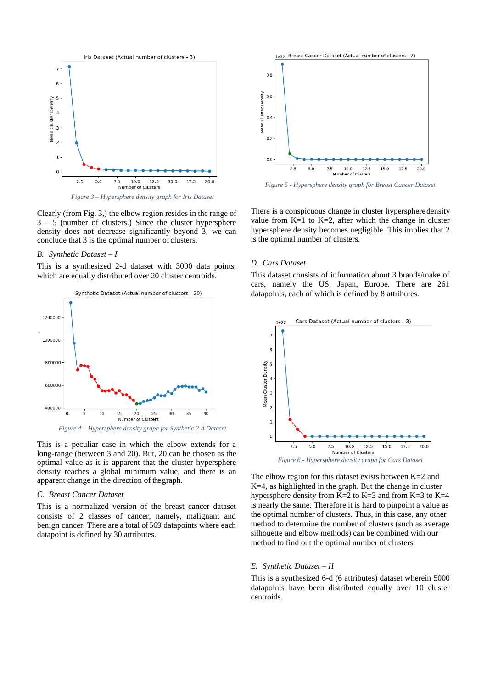

*Figure 3 – Hypersphere density graph for Iris Dataset*

Clearly (from Fig. 3,) the elbow region resides in the range of 3 – 5 (number of clusters.) Since the cluster hypersphere density does not decrease significantly beyond 3, we can conclude that 3 is the optimal number of clusters.

## *B. Synthetic Dataset – I*

This is a synthesized 2-d dataset with 3000 data points, which are equally distributed over 20 cluster centroids.



*Figure 4 – Hypersphere density graph for Synthetic 2-d Dataset*

This is a peculiar case in which the elbow extends for a long-range (between 3 and 20). But, 20 can be chosen as the optimal value as it is apparent that the cluster hypersphere density reaches a global minimum value, and there is an apparent change in the direction of the graph.

#### *C. Breast Cancer Dataset*

This is a normalized version of the breast cancer dataset consists of 2 classes of cancer, namely, malignant and benign cancer. There are a total of 569 datapoints where each datapoint is defined by 30 attributes.



*Figure 5 - Hypersphere density graph for Breast Cancer Dataset*

There is a conspicuous change in cluster hyperspheredensity value from  $K=1$  to  $K=2$ , after which the change in cluster hypersphere density becomes negligible. This implies that 2 is the optimal number of clusters.

## *D. Cars Dataset*

This dataset consists of information about 3 brands/make of cars, namely the US, Japan, Europe. There are 261 datapoints, each of which is defined by 8 attributes.



The elbow region for this dataset exists between  $K=2$  and K=4, as highlighted in the graph. But the change in cluster hypersphere density from  $K=2$  to  $K=3$  and from  $K=3$  to  $K=4$ is nearly the same. Therefore it is hard to pinpoint a value as the optimal number of clusters. Thus, in this case, any other method to determine the number of clusters (such as average silhouette and elbow methods) can be combined with our method to find out the optimal number of clusters.

#### *E. Synthetic Dataset – II*

This is a synthesized 6-d (6 attributes) dataset wherein 5000 datapoints have been distributed equally over 10 cluster centroids.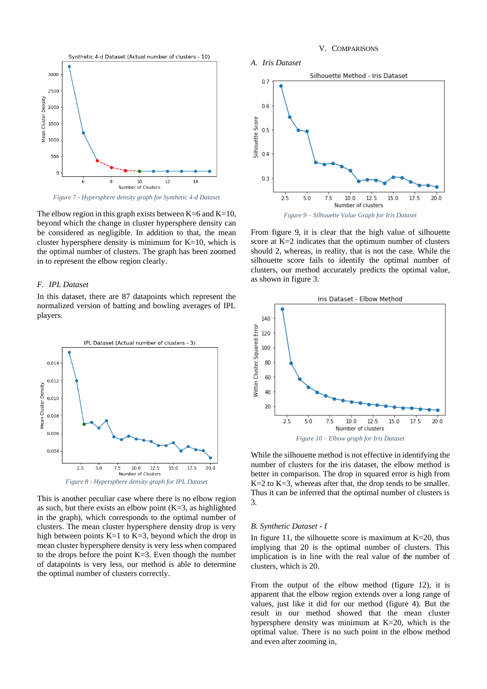## V. COMPARISONS



*Figure 7 - Hypersphere density graph for Synthetic 4-d Dataset*

The elbow region in this graph exists between  $K=6$  and  $K=10$ , beyond which the change in cluster hypersphere density can be considered as negligible. In addition to that, the mean cluster hypersphere density is minimum for  $K=10$ , which is the optimal number of clusters. The graph has been zoomed in to represent the elbow region clearly.

## *F. IPL Dataset*

In this dataset, there are 87 datapoints which represent the normalized version of batting and bowling averages of IPL players.



This is another peculiar case where there is no elbow region as such, but there exists an elbow point  $(K=3)$ , as highlighted in the graph), which corresponds to the optimal number of clusters. The mean cluster hypersphere density drop is very high between points  $K=1$  to  $K=3$ , beyond which the drop in mean cluster hypersphere density is very less when compared to the drops before the point K=3. Even though the number of datapoints is very less, our method is able to determine the optimal number of clusters correctly.



From figure 9, it is clear that the high value of silhouette score at K=2 indicates that the optimum number of clusters should 2, whereas, in reality, that is not the case. While the silhouette score fails to identify the optimal number of clusters, our method accurately predicts the optimal value, as shown in figure 3.



While the silhouette method is not effective in identifying the number of clusters for the iris dataset, the elbow method is better in comparison. The drop in squared error is high from K=2 to K=3, whereas after that, the drop tends to be smaller. Thus it can be inferred that the optimal number of clusters is 3.

## *B. Synthetic Dataset - I*

In figure 11, the silhouette score is maximum at  $K=20$ , thus implying that 20 is the optimal number of clusters. This implication is in line with the real value of the number of clusters, which is 20.

From the output of the elbow method (figure 12), it is apparent that the elbow region extends over a long range of values, just like it did for our method (figure 4). But the result in our method showed that the mean cluster hypersphere density was minimum at K=20, which is the optimal value. There is no such point in the elbow method and even after zooming in,